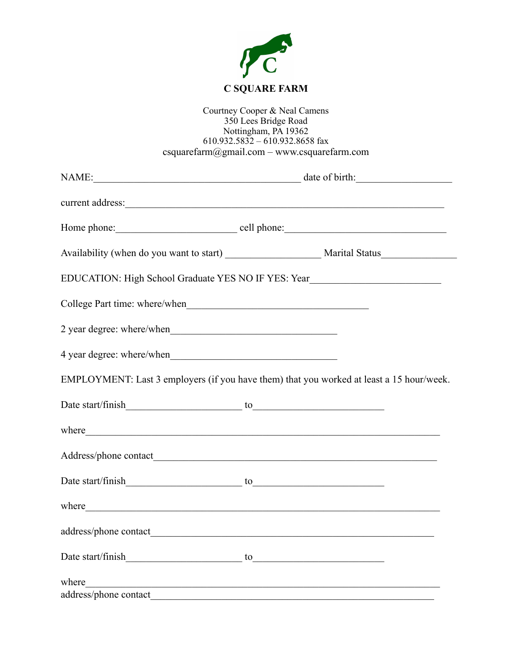

## Courtney Cooper & Neal Camens 350 Lees Bridge Road Nottingham, PA 19362 610.932.5832 – 610.932.8658 fax [csquarefarm@gmail.com](mailto:csquarefarm@yahoo.com) – www.csquarefarm.com

|                       | NAME: date of birth:                                                                                                                                                                                                                 |
|-----------------------|--------------------------------------------------------------------------------------------------------------------------------------------------------------------------------------------------------------------------------------|
|                       |                                                                                                                                                                                                                                      |
|                       |                                                                                                                                                                                                                                      |
|                       |                                                                                                                                                                                                                                      |
|                       | EDUCATION: High School Graduate YES NO IF YES: Year_____________________________                                                                                                                                                     |
|                       |                                                                                                                                                                                                                                      |
|                       |                                                                                                                                                                                                                                      |
|                       |                                                                                                                                                                                                                                      |
|                       | EMPLOYMENT: Last 3 employers (if you have them) that you worked at least a 15 hour/week.                                                                                                                                             |
|                       |                                                                                                                                                                                                                                      |
|                       | where                                                                                                                                                                                                                                |
|                       |                                                                                                                                                                                                                                      |
|                       |                                                                                                                                                                                                                                      |
|                       | where <u>the contract of the contract of the contract of the contract of the contract of the contract of the contract of the contract of the contract of the contract of the contract of the contract of the contract of the con</u> |
|                       |                                                                                                                                                                                                                                      |
|                       |                                                                                                                                                                                                                                      |
| where                 | <u> 1989 - Johann Stoff, amerikansk politiker (d. 1989)</u>                                                                                                                                                                          |
| address/phone contact |                                                                                                                                                                                                                                      |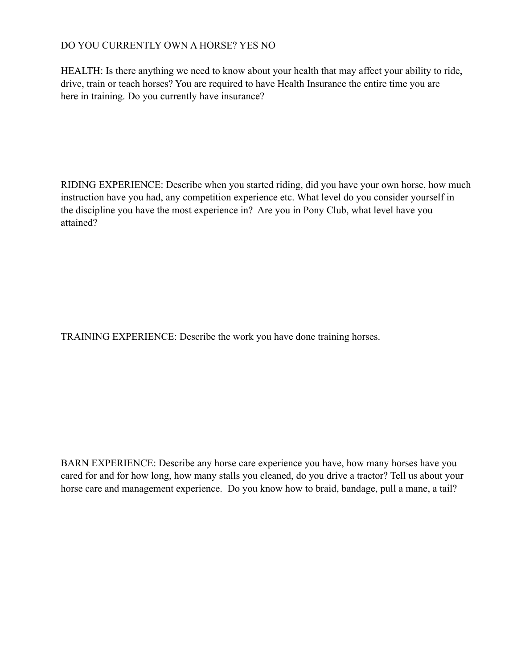## DO YOU CURRENTLY OWN A HORSE? YES NO

HEALTH: Is there anything we need to know about your health that may affect your ability to ride, drive, train or teach horses? You are required to have Health Insurance the entire time you are here in training. Do you currently have insurance?

RIDING EXPERIENCE: Describe when you started riding, did you have your own horse, how much instruction have you had, any competition experience etc. What level do you consider yourself in the discipline you have the most experience in? Are you in Pony Club, what level have you attained?

TRAINING EXPERIENCE: Describe the work you have done training horses.

BARN EXPERIENCE: Describe any horse care experience you have, how many horses have you cared for and for how long, how many stalls you cleaned, do you drive a tractor? Tell us about your horse care and management experience. Do you know how to braid, bandage, pull a mane, a tail?